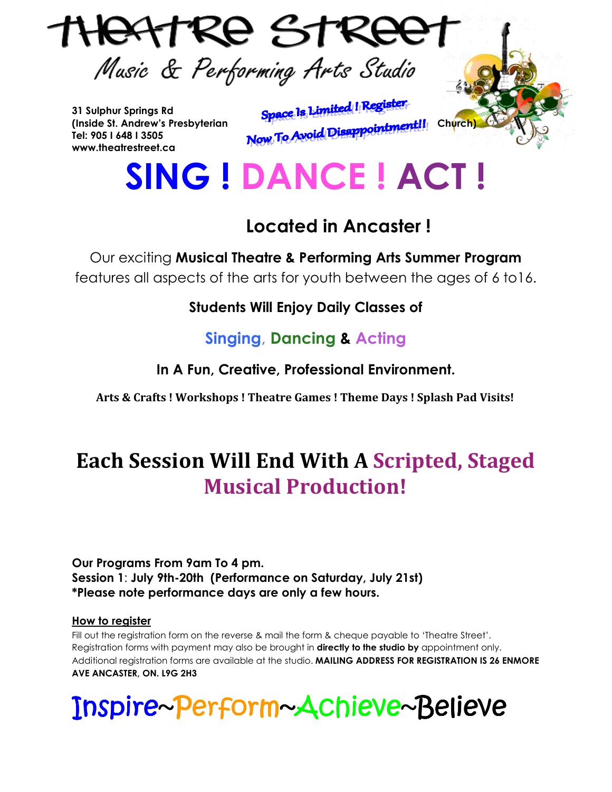

**31 Sulphur Springs Rd Tel: 905 I 648 I 3505 www.theatrestreet.ca** 

31 Sulphur Springs Rd<br>(Inside St. Andrew's Presbyterian **Space 1s Limited 1 Register**<br>To **Avoid Disappointment!!** Church)

# **SING ! DANCE ! ACT !**

## **Located in Ancaster !**

Our exciting **Musical Theatre & Performing Arts Summer Program** features all aspects of the arts for youth between the ages of 6 to16.

**Students Will Enjoy Daily Classes of**

### **Singing**, **Dancing & Acting**

**In A Fun, Creative, Professional Environment.** 

 **Arts & Crafts ! Workshops ! Theatre Games ! Theme Days ! Splash Pad Visits!** 

# **Each Session Will End With A Scripted, Staged Musical Production!**

**Our Programs From 9am To 4 pm. Session 1**: **July 9th-20th (Performance on Saturday, July 21st) \*Please note performance days are only a few hours.**

#### **How to register**

Fill out the registration form on the reverse & mail the form & cheque payable to 'Theatre Street'. Registration forms with payment may also be brought in **directly to the studio by** appointment only. Additional registration forms are available at the studio. **MAILING ADDRESS FOR REGISTRATION IS 26 ENMORE AVE ANCASTER, ON. L9G 2H3** 

# Inspire Inspire~Perform~Achieve~Believe